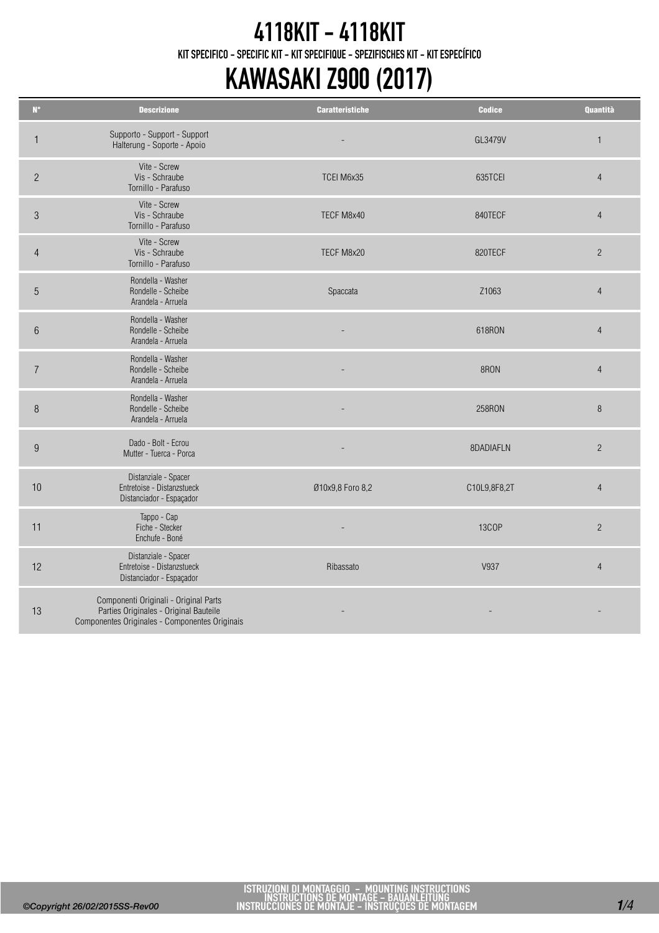## 4118KIT - 4118KIT

KIT SPECIFICO - SPECIFIC KIT - KIT SPECIFIQUE - SPEZIFISCHES KIT - KIT ESPECÍFICO

| $\mathsf{N}^\circ$ | <b>Descrizione</b>                                                                                                                | <b>Caratteristiche</b> | <b>Codice</b> | Quantità       |
|--------------------|-----------------------------------------------------------------------------------------------------------------------------------|------------------------|---------------|----------------|
| $\mathbf{1}$       | Supporto - Support - Support<br>Halterung - Soporte - Apoio                                                                       |                        | GL3479V       | $\mathbf{1}$   |
| $\overline{2}$     | Vite - Screw<br>Vis - Schraube<br>Tornillo - Parafuso                                                                             | TCEI M6x35             | 635TCEI       | $\overline{4}$ |
| $\sqrt{3}$         | Vite - Screw<br>Vis - Schraube<br>Tornillo - Parafuso                                                                             | TECF M8x40             | 840TECF       | $\overline{4}$ |
| $\overline{4}$     | Vite - Screw<br>Vis - Schraube<br>Tornillo - Parafuso                                                                             | TECF M8x20             | 820TECF       | $\overline{c}$ |
| 5                  | Rondella - Washer<br>Rondelle - Scheibe<br>Arandela - Arruela                                                                     | Spaccata               | Z1063         | $\overline{4}$ |
| $6\overline{6}$    | Rondella - Washer<br>Rondelle - Scheibe<br>Arandela - Arruela                                                                     |                        | 618RON        | $\overline{4}$ |
| $\overline{7}$     | Rondella - Washer<br>Rondelle - Scheibe<br>Arandela - Arruela                                                                     |                        | 8RON          | $\overline{4}$ |
| $\, 8$             | Rondella - Washer<br>Rondelle - Scheibe<br>Arandela - Arruela                                                                     |                        | 258RON        | $\, 8$         |
| $\boldsymbol{9}$   | Dado - Bolt - Ecrou<br>Mutter - Tuerca - Porca                                                                                    |                        | 8DADIAFLN     | $\overline{c}$ |
| 10                 | Distanziale - Spacer<br>Entretoise - Distanzstueck<br>Distanciador - Espaçador                                                    | Ø10x9,8 Foro 8,2       | C10L9,8F8,2T  | $\overline{4}$ |
| 11                 | Tappo - Cap<br>Fiche - Stecker<br>Enchufe - Boné                                                                                  |                        | 13COP         | $\sqrt{2}$     |
| 12                 | Distanziale - Spacer<br>Entretoise - Distanzstueck<br>Distanciador - Espaçador                                                    | Ribassato              | V937          | $\overline{4}$ |
| 13                 | Componenti Originali - Original Parts<br>Parties Originales - Original Bauteile<br>Componentes Originales - Componentes Originais |                        |               |                |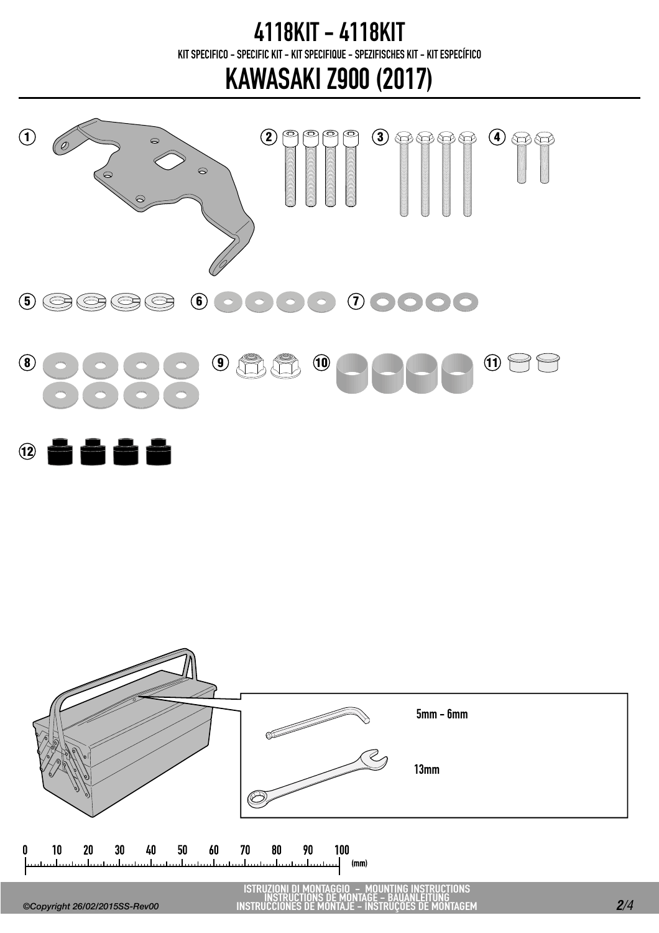#### 4118KIT - 4118KIT KIT SPECIFICO - SPECIFIC KIT - KIT SPECIFIQUE - SPEZIFISCHES KIT - KIT ESPECÍFICO



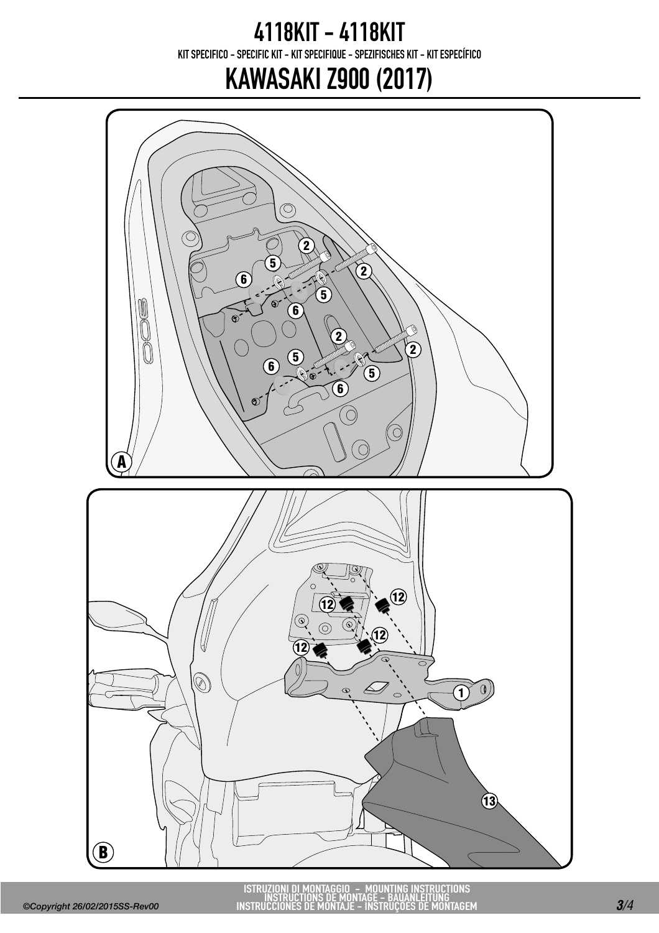### 4118KIT - 4118KIT

KIT SPECIFICO - SPECIFIC KIT - KIT SPECIFIQUE - SPEZIFISCHES KIT - KIT ESPECÍFICO